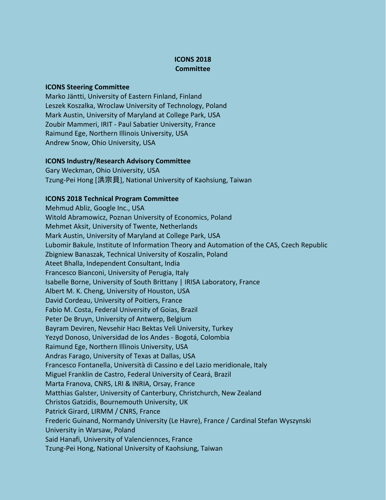## **ICONS 2018 Committee**

## **ICONS Steering Committee**

Marko Jäntti, University of Eastern Finland, Finland Leszek Koszalka, Wroclaw University of Technology, Poland Mark Austin, University of Maryland at College Park, USA Zoubir Mammeri, IRIT - Paul Sabatier University, France Raimund Ege, Northern Illinois University, USA Andrew Snow, Ohio University, USA

## **ICONS Industry/Research Advisory Committee**

Gary Weckman, Ohio University, USA Tzung-Pei Hong [洪宗貝], National University of Kaohsiung, Taiwan

## **ICONS 2018 Technical Program Committee**

Mehmud Abliz, Google Inc., USA Witold Abramowicz, Poznan University of Economics, Poland Mehmet Aksit, University of Twente, Netherlands Mark Austin, University of Maryland at College Park, USA Lubomir Bakule, Institute of Information Theory and Automation of the CAS, Czech Republic Zbigniew Banaszak, Technical University of Koszalin, Poland Ateet Bhalla, Independent Consultant, India Francesco Bianconi, University of Perugia, Italy Isabelle Borne, University of South Brittany | IRISA Laboratory, France Albert M. K. Cheng, University of Houston, USA David Cordeau, University of Poitiers, France Fabio M. Costa, Federal University of Goias, Brazil Peter De Bruyn, University of Antwerp, Belgium Bayram Deviren, Nevsehir Hacı Bektas Veli University, Turkey Yezyd Donoso, Universidad de los Andes - Bogotá, Colombia Raimund Ege, Northern Illinois University, USA Andras Farago, University of Texas at Dallas, USA Francesco Fontanella, Università di Cassino e del Lazio meridionale, Italy Miguel Franklin de Castro, Federal University of Ceará, Brazil Marta Franova, CNRS, LRI & INRIA, Orsay, France Matthias Galster, University of Canterbury, Christchurch, New Zealand Christos Gatzidis, Bournemouth University, UK Patrick Girard, LIRMM / CNRS, France Frederic Guinand, Normandy University (Le Havre), France / Cardinal Stefan Wyszynski University in Warsaw, Poland Said Hanafi, University of Valenciennces, France Tzung-Pei Hong, National University of Kaohsiung, Taiwan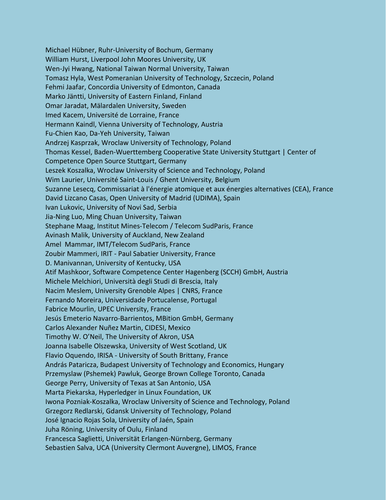Michael Hübner, Ruhr-University of Bochum, Germany William Hurst, Liverpool John Moores University, UK Wen-Jyi Hwang, National Taiwan Normal University, Taiwan Tomasz Hyla, West Pomeranian University of Technology, Szczecin, Poland Fehmi Jaafar, Concordia University of Edmonton, Canada Marko Jäntti, University of Eastern Finland, Finland Omar Jaradat, Mälardalen University, Sweden Imed Kacem, Université de Lorraine, France Hermann Kaindl, Vienna University of Technology, Austria Fu-Chien Kao, Da-Yeh University, Taiwan Andrzej Kasprzak, Wroclaw University of Technology, Poland Thomas Kessel, Baden-Wuerttemberg Cooperative State University Stuttgart | Center of Competence Open Source Stuttgart, Germany Leszek Koszalka, Wroclaw University of Science and Technology, Poland Wim Laurier, Université Saint-Louis / Ghent University, Belgium Suzanne Lesecq, Commissariat à l'énergie atomique et aux énergies alternatives (CEA), France David Lizcano Casas, Open University of Madrid (UDIMA), Spain Ivan Lukovic, University of Novi Sad, Serbia Jia-Ning Luo, Ming Chuan University, Taiwan Stephane Maag, Institut Mines-Telecom / Telecom SudParis, France Avinash Malik, University of Auckland, New Zealand Amel Mammar, IMT/Telecom SudParis, France Zoubir Mammeri, IRIT - Paul Sabatier University, France D. Manivannan, University of Kentucky, USA Atif Mashkoor, Software Competence Center Hagenberg (SCCH) GmbH, Austria Michele Melchiori, Università degli Studi di Brescia, Italy Nacim Meslem, University Grenoble Alpes | CNRS, France Fernando Moreira, Universidade Portucalense, Portugal Fabrice Mourlin, UPEC University, France Jesús Emeterio Navarro-Barrientos, MBition GmbH, Germany Carlos Alexander Nuñez Martin, CIDESI, Mexico Timothy W. O'Neil, The University of Akron, USA Joanna Isabelle Olszewska, University of West Scotland, UK Flavio Oquendo, IRISA - University of South Brittany, France András Pataricza, Budapest University of Technology and Economics, Hungary Przemyslaw (Pshemek) Pawluk, George Brown College Toronto, Canada George Perry, University of Texas at San Antonio, USA Marta Piekarska, Hyperledger in Linux Foundation, UK Iwona Pozniak-Koszalka, Wroclaw University of Science and Technology, Poland Grzegorz Redlarski, Gdansk University of Technology, Poland José Ignacio Rojas Sola, University of Jaén, Spain Juha Röning, University of Oulu, Finland Francesca Saglietti, Universität Erlangen-Nürnberg, Germany Sebastien Salva, UCA (University Clermont Auvergne), LIMOS, France